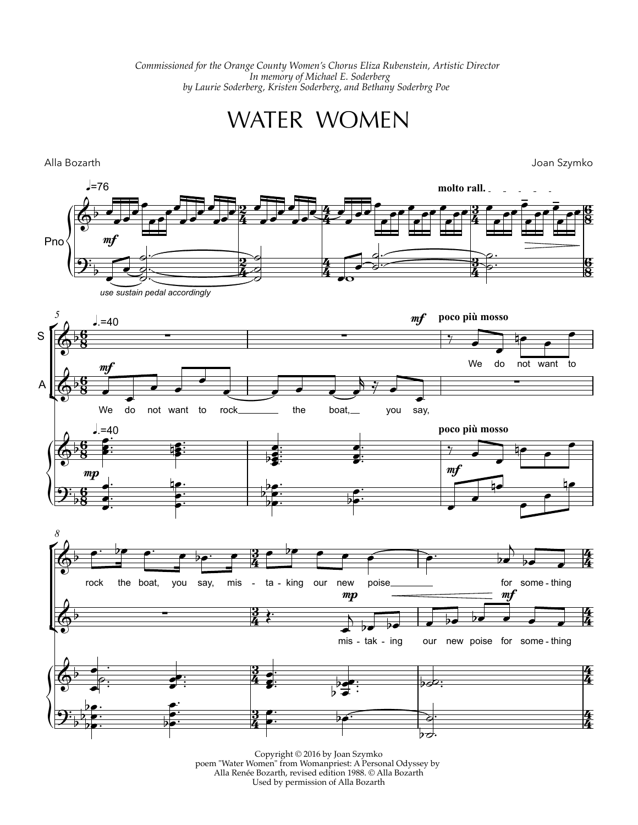*Commissioned for the Orange County Women's Chorus Eliza Rubenstein, Artistic Director In memory of Michael E. Soderberg by Laurie Soderberg, Kristen Soderberg, and Bethany Soderbrg Poe* 

## WATER WOMEN

 $\left\{\begin{matrix} 1 & 1 \\ 1 & 1 \end{matrix}\right\}$ ° ¢  $\left\{\right\}$ ° ¢  $\left\{\right\}$ Pno  $\langle \vert \eta \eta \rangle$  $\sqrt{276}$  molto rall. mf We do not want to  $l = 40$  $\frac{5}{2}$  **poco più mosso** We mf do not want to rock\_\_\_\_\_\_\_\_ the boat,\_\_ you say,  $m p$ q.=40 **poco più mosso** mf rock the boat, you say, mis - ta - king our new poise \_\_\_\_\_\_\_\_\_ for some - thing *8* mis - tak - ing mp - tak - ing our new poise for some - thing mf <u>2</u>  $\frac{2}{4}$ 4  $\frac{4}{4}$ <u>3្</u>  $\frac{3}{4}$  $\frac{6}{2}$ <u>ե</u><br>8  $\overline{2}$  $\frac{2}{4}$ 4  $\frac{4}{4}$ <u>។</u><br>អ្ <u>วี</u><br>4  $\frac{6}{5}$ <u>ե</u><br>8  $\frac{6}{5}$ <u>ճ</u><br>8  $\overline{6}$ <u>ճ</u><br>8  $\frac{6}{5}$ <u>ճ</u><br>8  $\frac{6}{5}$ <u>ճ</u><br>8 <u>3្</u>  $\frac{3}{4}$ 4  $\frac{4}{4}$ <u>3្</u> 3<br>4 4 4<br>4 <u>3្</u>  $\frac{3}{4}$ 4  $\frac{4}{4}$ <u>3្</u>  $\frac{3}{4}$ 4  $\frac{4}{4}$  $\left(\frac{1}{2}\right)^{3}$  ,  $\left(\frac{1}{2}\right)^{3}$  ,  $\left(\frac{1}{2}\right)^{3}$  ,  $\left(\frac{1}{2}\right)^{3}$  ,  $\left(\frac{1}{2}\right)^{3}$  ,  $\left(\frac{1}{2}\right)^{3}$  ,  $\left(\frac{1}{2}\right)^{3}$  ,  $\left(\frac{1}{2}\right)^{3}$  ,  $\left(\frac{1}{2}\right)^{3}$  ,  $\left(\frac{1}{2}\right)^{3}$  ,  $\left(\frac{1}{2}\right)^{3}$  ,  $\left(\frac{1}{2}\right)^$ Alla Bozarth Joan Szymko  $\mathbf{\mathcal{G}}^{\mathbf{\cdot}}_{\flat}$  $s \sqrt{\frac{1}{2}}$  *use sustain pedal accordingly*  ∑ ∑ <sup>A</sup> &b ∑  $\overline{\mathbb{Q}^{\flat}}$  $\mathbf{\mathcal{G}}^{\mathbf{\cdot}}_{\flat}$  $\overline{\mathbb{Q}^{\flat}}$  $\phi$  $\overline{\mathbb{Q}^{\flat}}$  $\mathbf{\mathcal{P}}$  , œ œœ œ œ œœ œœ œœ  $\overline{\phantom{a}}$ œœ  $\frac{1}{2}$  $\overline{\phantom{a}}$  $\overline{\phantom{a}}$ œœ **LE** œ  $\overline{\phantom{a}}$ œ œ  $\overline{\mathcal{C}}$ œ  $\overline{\mathcal{C}}$ œ  $e^2$ œ œœ œ œ  $\overline{\mathcal{C}}$ œ œœ œ œ  $\partial$  $\frac{1}{2}$  $\frac{1}{2}$ ™ ™ ™  $\partial$  $\frac{1}{2}$  $\frac{1}{2}$  $\frac{1}{\bullet \sigma}$  $\mathbf{e}$ ∠<br>⊘..<br>⊘..  $\sqrt{2}$ <u>ः</u><br>‴ ™  $\frac{1}{\sqrt{2}}$  $\overline{\phantom{0}}$  $\overline{\mathbf{r}}$ œ œ œ œ œ œ œ œ œ œ œ  $\frac{1}{2}$ œ  $\sqrt{.}=40$ e÷<br>€ ™  $\frac{1}{\sqrt{2}}$  $\frac{1}{\cdot}$ ™ œ œ e<br>S  $\overline{\bullet}$  $\frac{1}{2}$  $\frac{1}{2}$  $\equiv$  $\frac{1}{3}$ e<br>g œ —<br>" ™  $\frac{1}{\sqrt{2}}$  $\overline{\bullet}$  $\mathbb{P}$ œ œ œ œ ™ ™  $\blacksquare$ œ œ n ™ ™  $\frac{1}{\sqrt{2}}$ œ e<br>P b b  $\frac{1}{2}$ ™  $\frac{1}{\sqrt{2}}$  $\frac{1}{2}$ ™ œ œ nœ œ œ nœ <sup>œ</sup>™ bœ <sup>œ</sup>™ <sup>œ</sup> bœ™ <sup>œ</sup> <sup>œ</sup> bœ <sup>œ</sup> <sup>œ</sup> <sup>œ</sup> <sup>œ</sup>™ bœ  $\overline{a}$  $\overline{b}$  $\leftarrow$  $j_{\rm{pe}}$  be a beat  $\overline{e}$ œ  $\frac{1}{\epsilon}$ ™  $\frac{1}{\rho}$   $\frac{1}{\rho}$ œœ™ —<br>"  $\frac{3}{4}$ œ œ ™ ™ ™ œ bœœ  $\frac{b}{b}$   $\frac{d}{c}$  : —<br>"  $\frac{1}{100}$ —<br>" œ œ e<br>P b b  $\frac{p}{p}$ ™  $\frac{1}{2}$ œ bœ™ ™  $\begin{array}{c|c} \cdot \hspace{1.5cm} & \hspace{1.5cm} \end{array}$ œ™  $\frac{1}{\sqrt{1-\frac{1}{\sqrt{1-\frac{1}{\sqrt{1-\frac{1}{\sqrt{1-\frac{1}{\sqrt{1-\frac{1}{\sqrt{1-\frac{1}{\sqrt{1-\frac{1}{\sqrt{1-\frac{1}{\sqrt{1-\frac{1}{\sqrt{1-\frac{1}{\sqrt{1-\frac{1}{\sqrt{1-\frac{1}{\sqrt{1-\frac{1}{\sqrt{1-\frac{1}{\sqrt{1-\frac{1}{\sqrt{1-\frac{1}{\sqrt{1-\frac{1}{\sqrt{1-\frac{1}{\sqrt{1-\frac{1}{\sqrt{1-\frac{1}{\sqrt{1-\frac{1}{\sqrt{1-\frac{1}{\sqrt{1-\frac{1}{\sqrt{1-\frac{1$  $\overline{b}$ . **i** ™

Copyright © 2016 by Joan Szymko poem "Water Women" from Womanpriest: A Personal Odyssey by Alla Renée Bozarth, revised edition 1988. © Alla Bozarth Used by permission of Alla Bozarth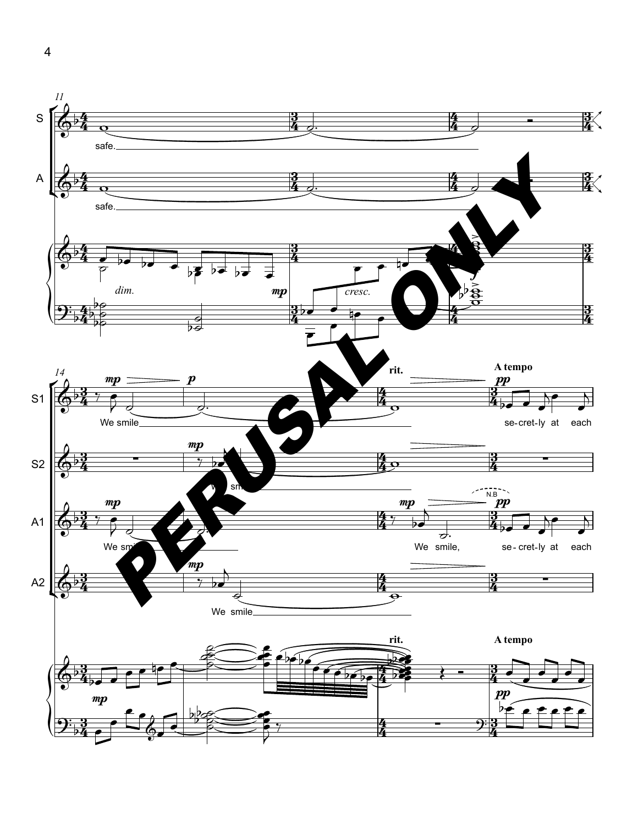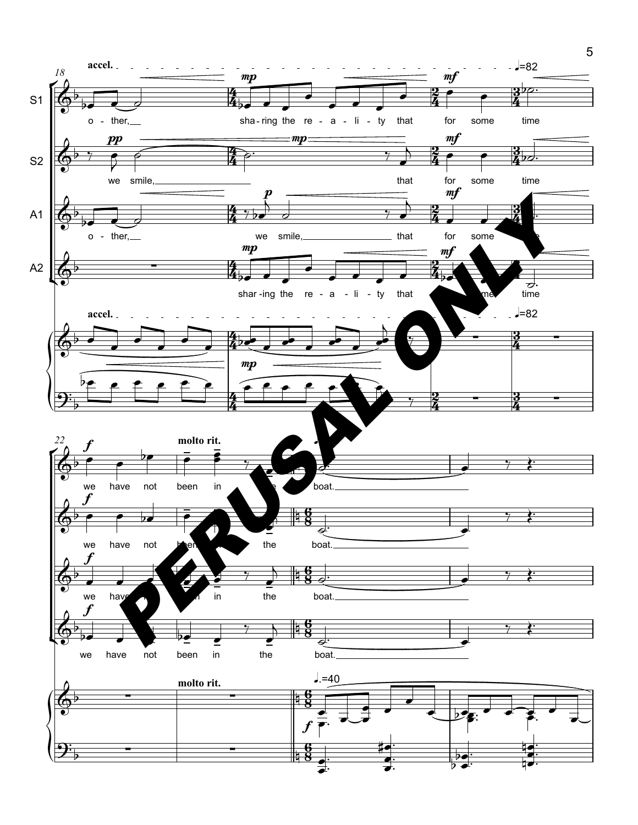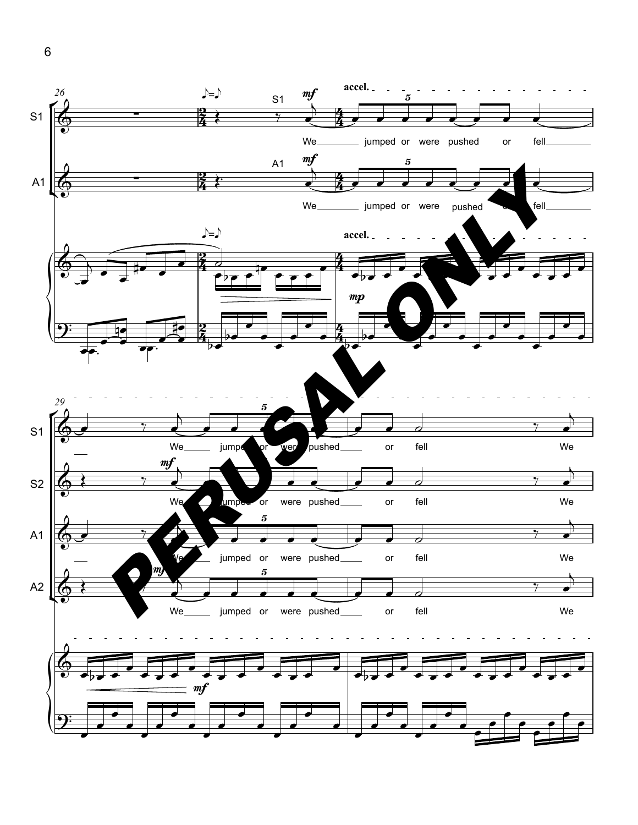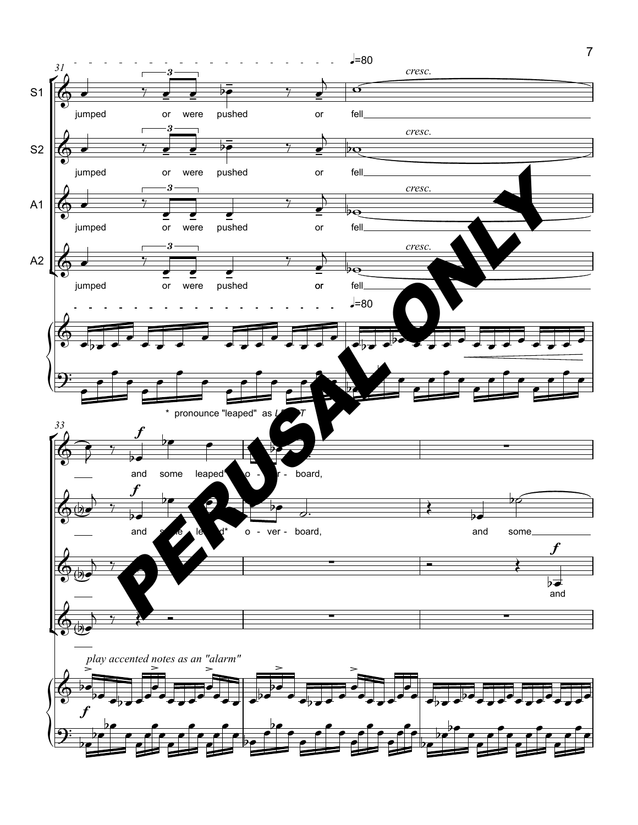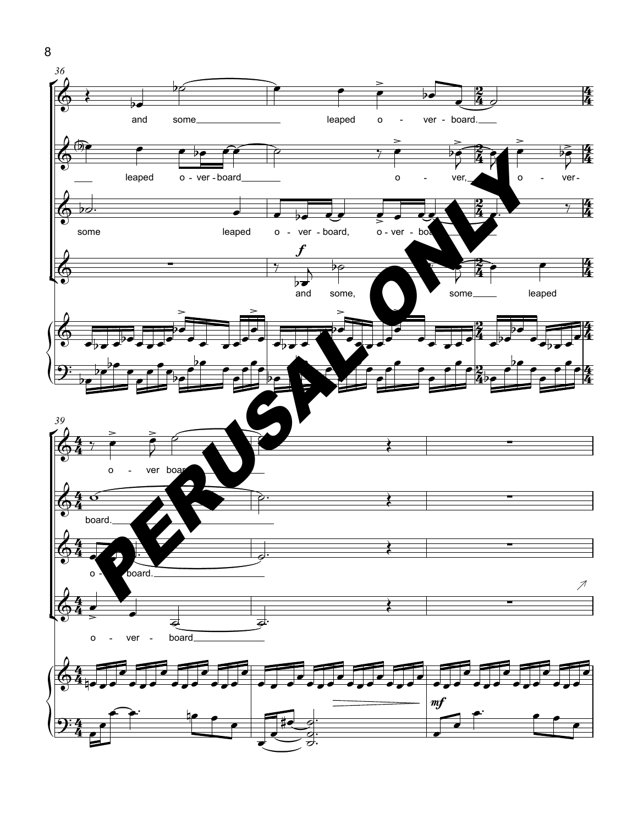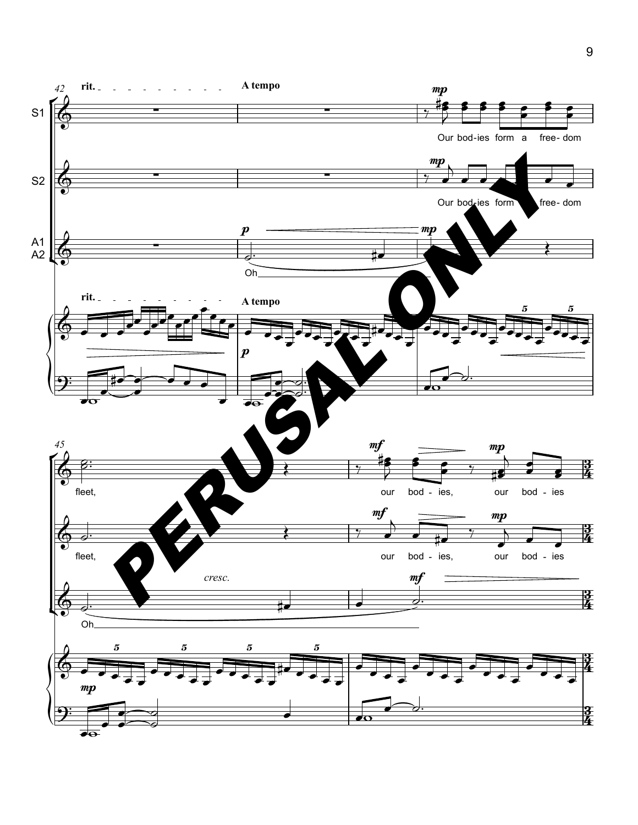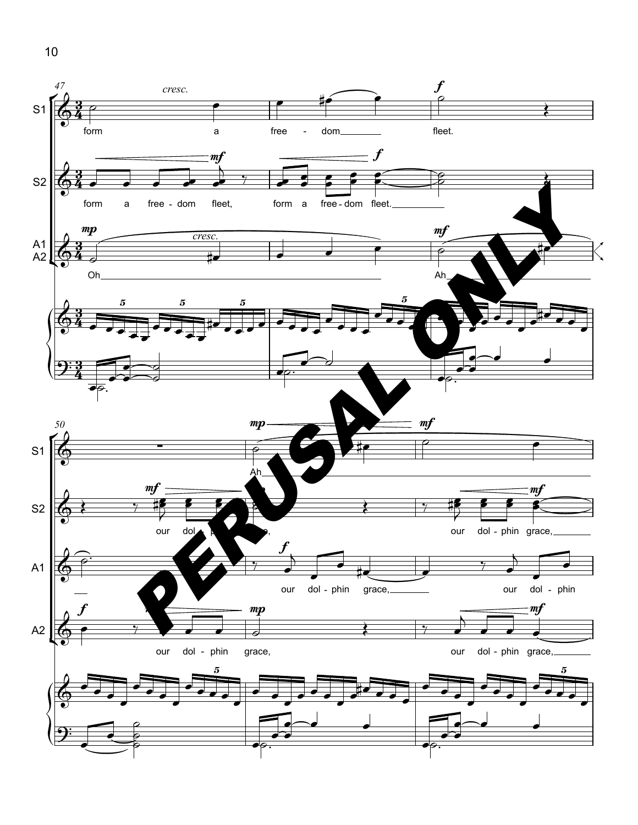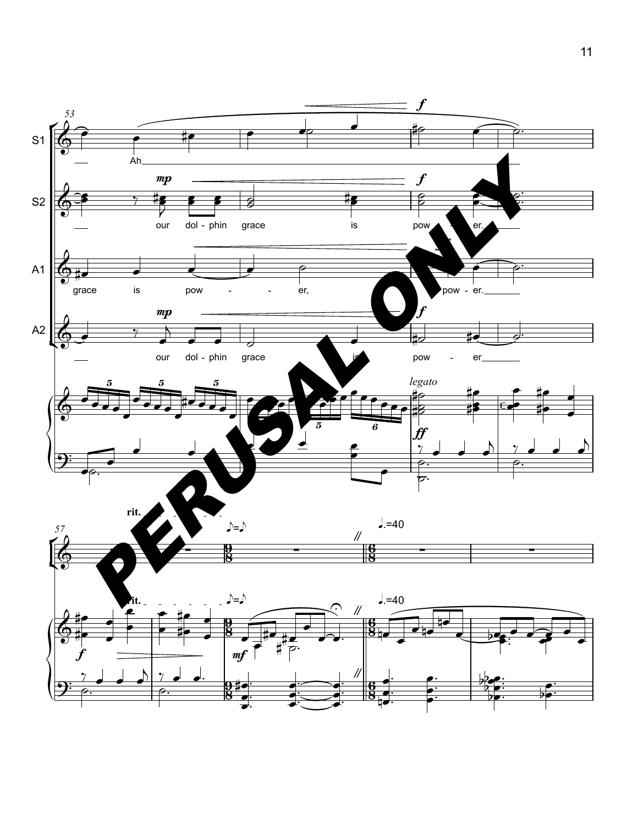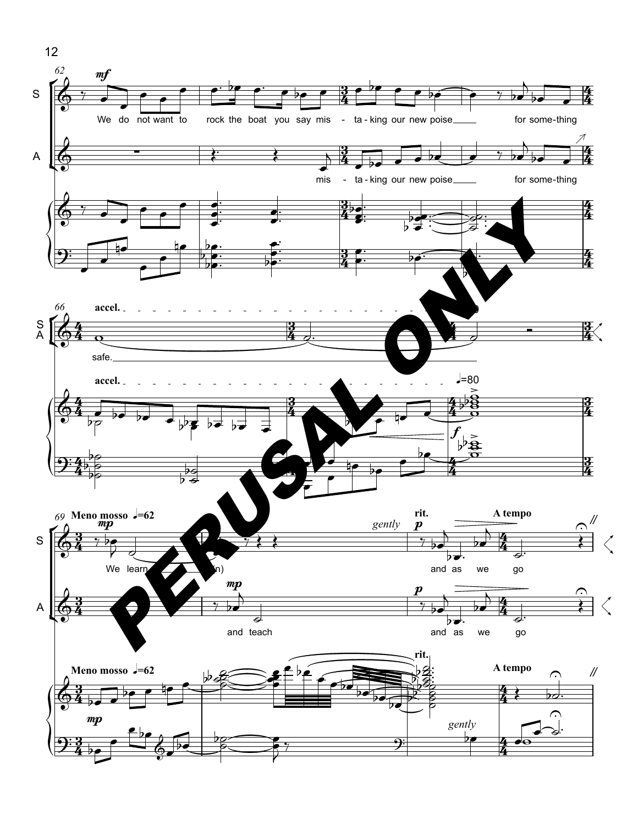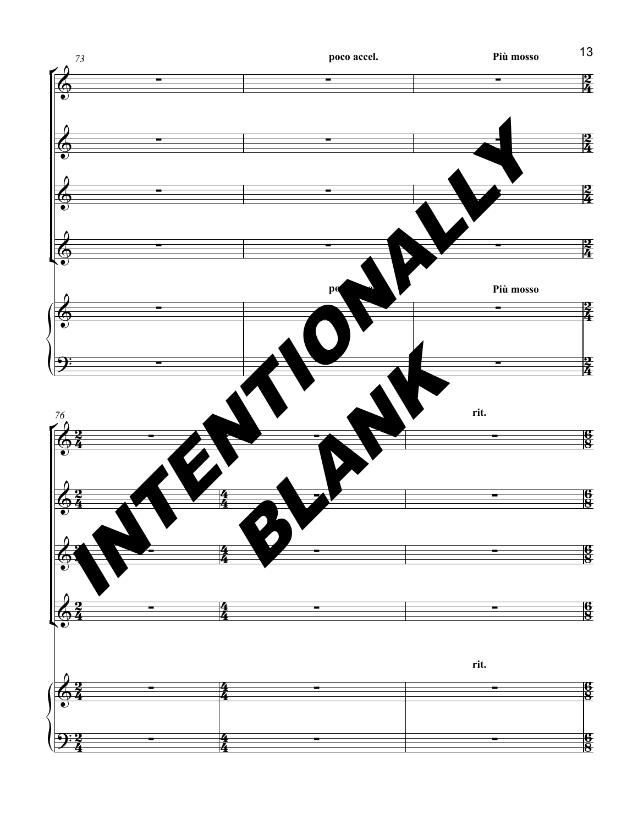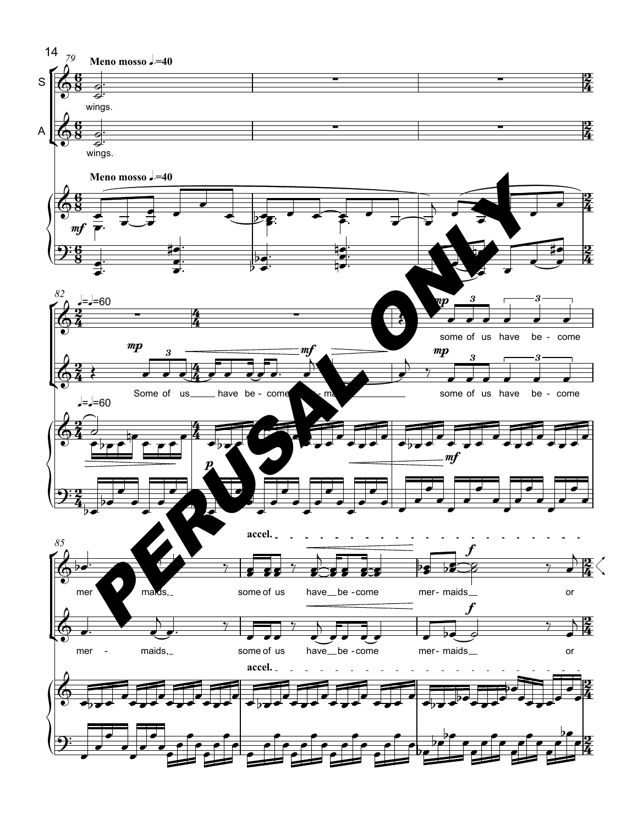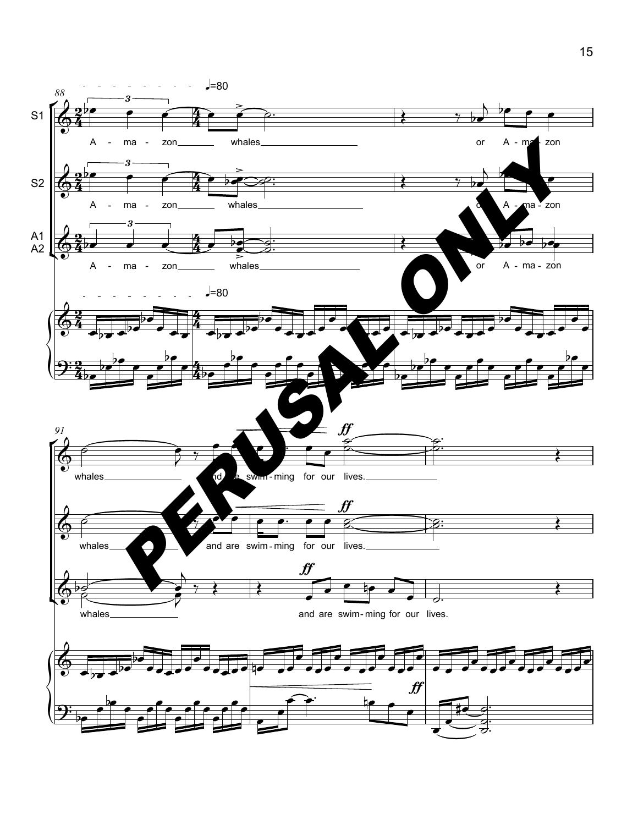